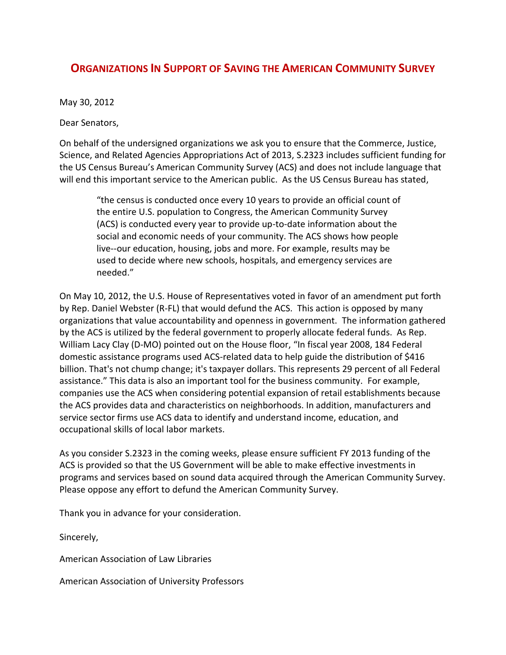## **ORGANIZATIONS IN SUPPORT OF SAVING THE AMERICAN COMMUNITY SURVEY**

May 30, 2012

Dear Senators,

On behalf of the undersigned organizations we ask you to ensure that the Commerce, Justice, Science, and Related Agencies Appropriations Act of 2013, S.2323 includes sufficient funding for the US Census Bureau's American Community Survey (ACS) and does not include language that will end this important service to the American public. As the US Census Bureau has stated,

"the census is conducted once every 10 years to provide an official count of the entire U.S. population to Congress, the American Community Survey (ACS) is conducted every year to provide up-to-date information about the social and economic needs of your community. The ACS shows how people live--our education, housing, jobs and more. For example, results may be used to decide where new schools, hospitals, and emergency services are needed."

On May 10, 2012, the U.S. House of Representatives voted in favor of an amendment put forth by Rep. Daniel Webster (R-FL) that would defund the ACS. This action is opposed by many organizations that value accountability and openness in government. The information gathered by the ACS is utilized by the federal government to properly allocate federal funds. As Rep. William Lacy Clay (D-MO) pointed out on the House floor, "In fiscal year 2008, 184 Federal domestic assistance programs used ACS-related data to help guide the distribution of \$416 billion. That's not chump change; it's taxpayer dollars. This represents 29 percent of all Federal assistance." This data is also an important tool for the business community. For example, companies use the ACS when considering potential expansion of retail establishments because the ACS provides data and characteristics on neighborhoods. In addition, manufacturers and service sector firms use ACS data to identify and understand income, education, and occupational skills of local labor markets.

As you consider S.2323 in the coming weeks, please ensure sufficient FY 2013 funding of the ACS is provided so that the US Government will be able to make effective investments in programs and services based on sound data acquired through the American Community Survey. Please oppose any effort to defund the American Community Survey.

Thank you in advance for your consideration.

Sincerely,

American Association of Law Libraries

American Association of University Professors